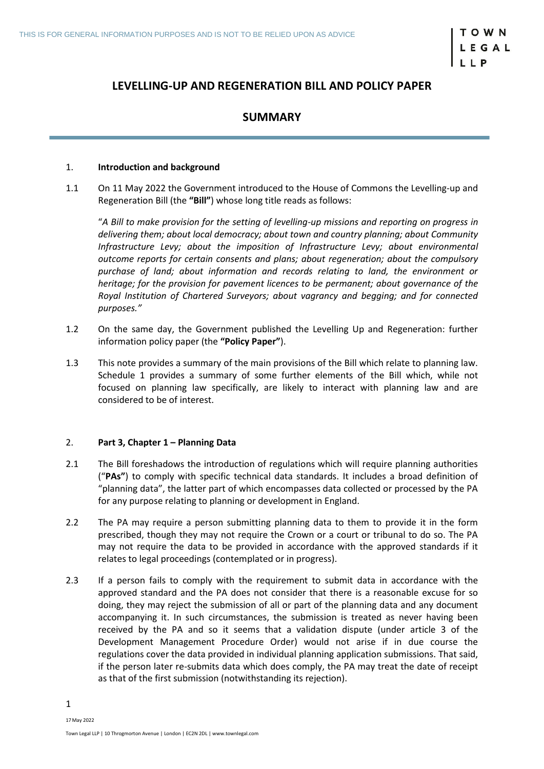# **LEVELLING-UP AND REGENERATION BILL AND POLICY PAPER**

# **SUMMARY**

### 1. **Introduction and background**

1.1 On 11 May 2022 the Government introduced to the House of Commons the Levelling-up and Regeneration Bill (the **"Bill"**) whose long title reads as follows:

"*A Bill to make provision for the setting of levelling-up missions and reporting on progress in delivering them; about local democracy; about town and country planning; about Community Infrastructure Levy; about the imposition of Infrastructure Levy; about environmental outcome reports for certain consents and plans; about regeneration; about the compulsory purchase of land; about information and records relating to land, the environment or heritage; for the provision for pavement licences to be permanent; about governance of the Royal Institution of Chartered Surveyors; about vagrancy and begging; and for connected purposes."*

- 1.2 On the same day, the Government published the Levelling Up and Regeneration: further information policy paper (the **"Policy Paper"**).
- 1.3 This note provides a summary of the main provisions of the Bill which relate to planning law. Schedule 1 provides a summary of some further elements of the Bill which, while not focused on planning law specifically, are likely to interact with planning law and are considered to be of interest.

# 2. **Part 3, Chapter 1 – Planning Data**

- 2.1 The Bill foreshadows the introduction of regulations which will require planning authorities ("**PAs"**) to comply with specific technical data standards. It includes a broad definition of "planning data", the latter part of which encompasses data collected or processed by the PA for any purpose relating to planning or development in England.
- 2.2 The PA may require a person submitting planning data to them to provide it in the form prescribed, though they may not require the Crown or a court or tribunal to do so. The PA may not require the data to be provided in accordance with the approved standards if it relates to legal proceedings (contemplated or in progress).
- 2.3 If a person fails to comply with the requirement to submit data in accordance with the approved standard and the PA does not consider that there is a reasonable excuse for so doing, they may reject the submission of all or part of the planning data and any document accompanying it. In such circumstances, the submission is treated as never having been received by the PA and so it seems that a validation dispute (under article 3 of the Development Management Procedure Order) would not arise if in due course the regulations cover the data provided in individual planning application submissions. That said, if the person later re-submits data which does comply, the PA may treat the date of receipt as that of the first submission (notwithstanding its rejection).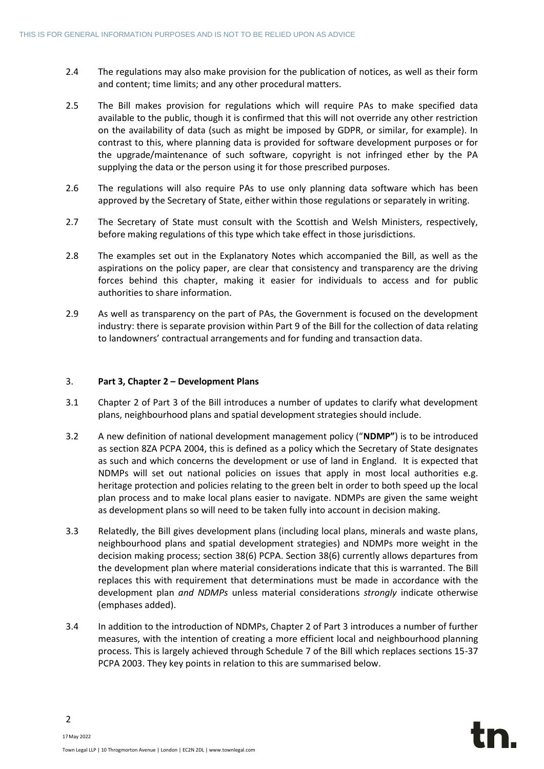- 2.4 The regulations may also make provision for the publication of notices, as well as their form and content; time limits; and any other procedural matters.
- 2.5 The Bill makes provision for regulations which will require PAs to make specified data available to the public, though it is confirmed that this will not override any other restriction on the availability of data (such as might be imposed by GDPR, or similar, for example). In contrast to this, where planning data is provided for software development purposes or for the upgrade/maintenance of such software, copyright is not infringed ether by the PA supplying the data or the person using it for those prescribed purposes.
- 2.6 The regulations will also require PAs to use only planning data software which has been approved by the Secretary of State, either within those regulations or separately in writing.
- 2.7 The Secretary of State must consult with the Scottish and Welsh Ministers, respectively, before making regulations of this type which take effect in those jurisdictions.
- 2.8 The examples set out in the Explanatory Notes which accompanied the Bill, as well as the aspirations on the policy paper, are clear that consistency and transparency are the driving forces behind this chapter, making it easier for individuals to access and for public authorities to share information.
- 2.9 As well as transparency on the part of PAs, the Government is focused on the development industry: there is separate provision within Part 9 of the Bill for the collection of data relating to landowners' contractual arrangements and for funding and transaction data.

# 3. **Part 3, Chapter 2 – Development Plans**

- 3.1 Chapter 2 of Part 3 of the Bill introduces a number of updates to clarify what development plans, neighbourhood plans and spatial development strategies should include.
- 3.2 A new definition of national development management policy ("**NDMP"**) is to be introduced as section 8ZA PCPA 2004, this is defined as a policy which the Secretary of State designates as such and which concerns the development or use of land in England. It is expected that NDMPs will set out national policies on issues that apply in most local authorities e.g. heritage protection and policies relating to the green belt in order to both speed up the local plan process and to make local plans easier to navigate. NDMPs are given the same weight as development plans so will need to be taken fully into account in decision making.
- 3.3 Relatedly, the Bill gives development plans (including local plans, minerals and waste plans, neighbourhood plans and spatial development strategies) and NDMPs more weight in the decision making process; section 38(6) PCPA. Section 38(6) currently allows departures from the development plan where material considerations indicate that this is warranted. The Bill replaces this with requirement that determinations must be made in accordance with the development plan *and NDMPs* unless material considerations *strongly* indicate otherwise (emphases added).
- 3.4 In addition to the introduction of NDMPs, Chapter 2 of Part 3 introduces a number of further measures, with the intention of creating a more efficient local and neighbourhood planning process. This is largely achieved through Schedule 7 of the Bill which replaces sections 15-37 PCPA 2003. They key points in relation to this are summarised below.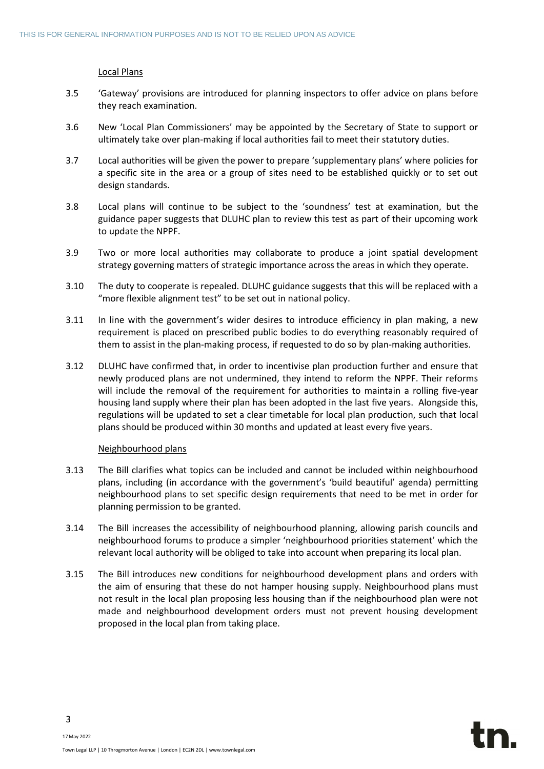# Local Plans

- 3.5 'Gateway' provisions are introduced for planning inspectors to offer advice on plans before they reach examination.
- 3.6 New 'Local Plan Commissioners' may be appointed by the Secretary of State to support or ultimately take over plan-making if local authorities fail to meet their statutory duties.
- 3.7 Local authorities will be given the power to prepare 'supplementary plans' where policies for a specific site in the area or a group of sites need to be established quickly or to set out design standards.
- 3.8 Local plans will continue to be subject to the 'soundness' test at examination, but the guidance paper suggests that DLUHC plan to review this test as part of their upcoming work to update the NPPF.
- 3.9 Two or more local authorities may collaborate to produce a joint spatial development strategy governing matters of strategic importance across the areas in which they operate.
- 3.10 The duty to cooperate is repealed. DLUHC guidance suggests that this will be replaced with a "more flexible alignment test" to be set out in national policy.
- 3.11 In line with the government's wider desires to introduce efficiency in plan making, a new requirement is placed on prescribed public bodies to do everything reasonably required of them to assist in the plan-making process, if requested to do so by plan-making authorities.
- 3.12 DLUHC have confirmed that, in order to incentivise plan production further and ensure that newly produced plans are not undermined, they intend to reform the NPPF. Their reforms will include the removal of the requirement for authorities to maintain a rolling five-year housing land supply where their plan has been adopted in the last five years. Alongside this, regulations will be updated to set a clear timetable for local plan production, such that local plans should be produced within 30 months and updated at least every five years.

# Neighbourhood plans

- 3.13 The Bill clarifies what topics can be included and cannot be included within neighbourhood plans, including (in accordance with the government's 'build beautiful' agenda) permitting neighbourhood plans to set specific design requirements that need to be met in order for planning permission to be granted.
- 3.14 The Bill increases the accessibility of neighbourhood planning, allowing parish councils and neighbourhood forums to produce a simpler 'neighbourhood priorities statement' which the relevant local authority will be obliged to take into account when preparing its local plan.
- 3.15 The Bill introduces new conditions for neighbourhood development plans and orders with the aim of ensuring that these do not hamper housing supply. Neighbourhood plans must not result in the local plan proposing less housing than if the neighbourhood plan were not made and neighbourhood development orders must not prevent housing development proposed in the local plan from taking place.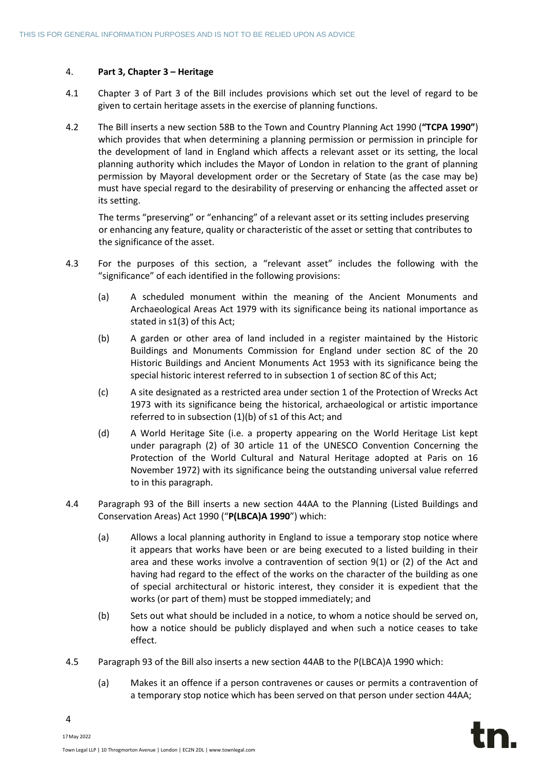# 4. **Part 3, Chapter 3 – Heritage**

- 4.1 Chapter 3 of Part 3 of the Bill includes provisions which set out the level of regard to be given to certain heritage assets in the exercise of planning functions.
- 4.2 The Bill inserts a new section 58B to the Town and Country Planning Act 1990 (**"TCPA 1990"**) which provides that when determining a planning permission or permission in principle for the development of land in England which affects a relevant asset or its setting, the local planning authority which includes the Mayor of London in relation to the grant of planning permission by Mayoral development order or the Secretary of State (as the case may be) must have special regard to the desirability of preserving or enhancing the affected asset or its setting.

The terms "preserving" or "enhancing" of a relevant asset or its setting includes preserving or enhancing any feature, quality or characteristic of the asset or setting that contributes to the significance of the asset.

- 4.3 For the purposes of this section, a "relevant asset" includes the following with the "significance" of each identified in the following provisions:
	- (a) A scheduled monument within the meaning of the Ancient Monuments and Archaeological Areas Act 1979 with its significance being its national importance as stated in s1(3) of this Act;
	- (b) A garden or other area of land included in a register maintained by the Historic Buildings and Monuments Commission for England under section 8C of the 20 Historic Buildings and Ancient Monuments Act 1953 with its significance being the special historic interest referred to in subsection 1 of section 8C of this Act;
	- (c) A site designated as a restricted area under section 1 of the Protection of Wrecks Act 1973 with its significance being the historical, archaeological or artistic importance referred to in subsection (1)(b) of s1 of this Act; and
	- (d) A World Heritage Site (i.e. a property appearing on the World Heritage List kept under paragraph (2) of 30 article 11 of the UNESCO Convention Concerning the Protection of the World Cultural and Natural Heritage adopted at Paris on 16 November 1972) with its significance being the outstanding universal value referred to in this paragraph.
- 4.4 Paragraph 93 of the Bill inserts a new section 44AA to the Planning (Listed Buildings and Conservation Areas) Act 1990 ("**P(LBCA)A 1990**") which:
	- (a) Allows a local planning authority in England to issue a temporary stop notice where it appears that works have been or are being executed to a listed building in their area and these works involve a contravention of section 9(1) or (2) of the Act and having had regard to the effect of the works on the character of the building as one of special architectural or historic interest, they consider it is expedient that the works (or part of them) must be stopped immediately; and
	- (b) Sets out what should be included in a notice, to whom a notice should be served on, how a notice should be publicly displayed and when such a notice ceases to take effect.
- 4.5 Paragraph 93 of the Bill also inserts a new section 44AB to the P(LBCA)A 1990 which:
	- (a) Makes it an offence if a person contravenes or causes or permits a contravention of a temporary stop notice which has been served on that person under section 44AA;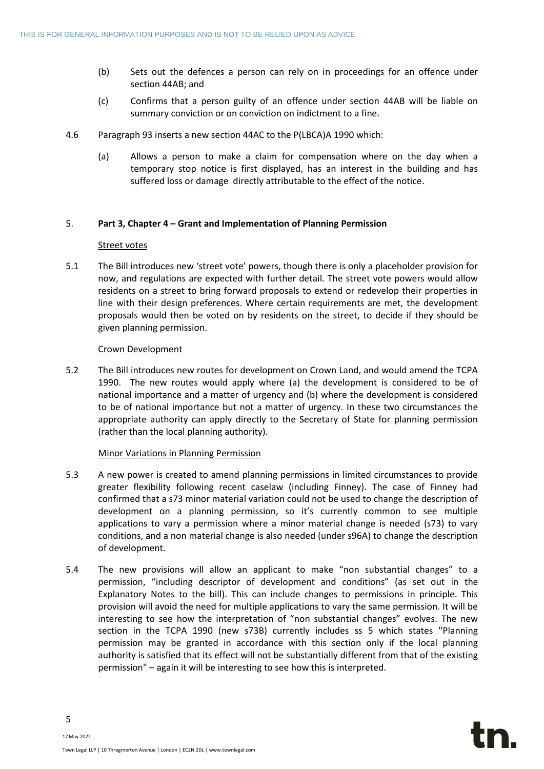- (b) Sets out the defences a person can rely on in proceedings for an offence under section 44AB; and
- (c) Confirms that a person guilty of an offence under section 44AB will be liable on summary conviction or on conviction on indictment to a fine.
- 4.6 Paragraph 93 inserts a new section 44AC to the P(LBCA)A 1990 which:
	- (a) Allows a person to make a claim for compensation where on the day when a temporary stop notice is first displayed, has an interest in the building and has suffered loss or damage directly attributable to the effect of the notice.

### 5. **Part 3, Chapter 4 – Grant and Implementation of Planning Permission**

### Street votes

5.1 The Bill introduces new 'street vote' powers, though there is only a placeholder provision for now, and regulations are expected with further detail. The street vote powers would allow residents on a street to bring forward proposals to extend or redevelop their properties in line with their design preferences. Where certain requirements are met, the development proposals would then be voted on by residents on the street, to decide if they should be given planning permission.

### Crown Development

5.2 The Bill introduces new routes for development on Crown Land, and would amend the TCPA 1990. The new routes would apply where (a) the development is considered to be of national importance and a matter of urgency and (b) where the development is considered to be of national importance but not a matter of urgency. In these two circumstances the appropriate authority can apply directly to the Secretary of State for planning permission (rather than the local planning authority).

### Minor Variations in Planning Permission

- 5.3 A new power is created to amend planning permissions in limited circumstances to provide greater flexibility following recent caselaw (including Finney). The case of Finney had confirmed that a s73 minor material variation could not be used to change the description of development on a planning permission, so it's currently common to see multiple applications to vary a permission where a minor material change is needed (s73) to vary conditions, and a non material change is also needed (under s96A) to change the description of development.
- 5.4 The new provisions will allow an applicant to make "non substantial changes" to a permission, "including descriptor of development and conditions" (as set out in the Explanatory Notes to the bill). This can include changes to permissions in principle. This provision will avoid the need for multiple applications to vary the same permission. It will be interesting to see how the interpretation of "non substantial changes" evolves. The new section in the TCPA 1990 (new s73B) currently includes ss 5 which states "Planning permission may be granted in accordance with this section only if the local planning authority is satisfied that its effect will not be substantially different from that of the existing permission" – again it will be interesting to see how this is interpreted.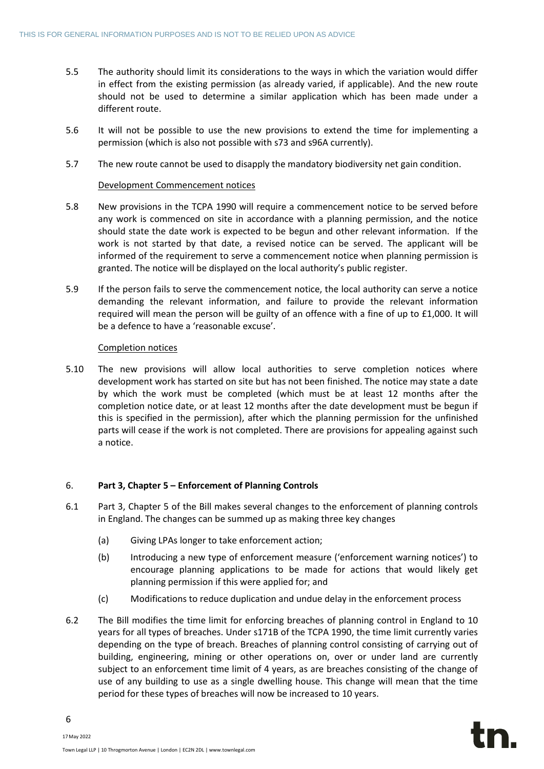- 5.5 The authority should limit its considerations to the ways in which the variation would differ in effect from the existing permission (as already varied, if applicable). And the new route should not be used to determine a similar application which has been made under a different route.
- 5.6 It will not be possible to use the new provisions to extend the time for implementing a permission (which is also not possible with s73 and s96A currently).
- 5.7 The new route cannot be used to disapply the mandatory biodiversity net gain condition.

### Development Commencement notices

- 5.8 New provisions in the TCPA 1990 will require a commencement notice to be served before any work is commenced on site in accordance with a planning permission, and the notice should state the date work is expected to be begun and other relevant information. If the work is not started by that date, a revised notice can be served. The applicant will be informed of the requirement to serve a commencement notice when planning permission is granted. The notice will be displayed on the local authority's public register.
- 5.9 If the person fails to serve the commencement notice, the local authority can serve a notice demanding the relevant information, and failure to provide the relevant information required will mean the person will be guilty of an offence with a fine of up to £1,000. It will be a defence to have a 'reasonable excuse'.

### Completion notices

5.10 The new provisions will allow local authorities to serve completion notices where development work has started on site but has not been finished. The notice may state a date by which the work must be completed (which must be at least 12 months after the completion notice date, or at least 12 months after the date development must be begun if this is specified in the permission), after which the planning permission for the unfinished parts will cease if the work is not completed. There are provisions for appealing against such a notice.

# 6. **Part 3, Chapter 5 – Enforcement of Planning Controls**

- 6.1 Part 3, Chapter 5 of the Bill makes several changes to the enforcement of planning controls in England. The changes can be summed up as making three key changes
	- (a) Giving LPAs longer to take enforcement action;
	- (b) Introducing a new type of enforcement measure ('enforcement warning notices') to encourage planning applications to be made for actions that would likely get planning permission if this were applied for; and
	- (c) Modifications to reduce duplication and undue delay in the enforcement process
- 6.2 The Bill modifies the time limit for enforcing breaches of planning control in England to 10 years for all types of breaches. Under s171B of the TCPA 1990, the time limit currently varies depending on the type of breach. Breaches of planning control consisting of carrying out of building, engineering, mining or other operations on, over or under land are currently subject to an enforcement time limit of 4 years, as are breaches consisting of the change of use of any building to use as a single dwelling house. This change will mean that the time period for these types of breaches will now be increased to 10 years.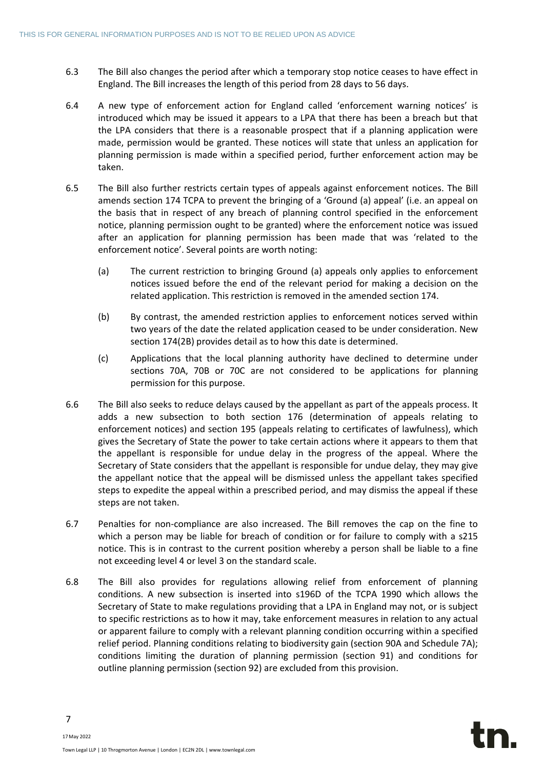- 6.3 The Bill also changes the period after which a temporary stop notice ceases to have effect in England. The Bill increases the length of this period from 28 days to 56 days.
- 6.4 A new type of enforcement action for England called 'enforcement warning notices' is introduced which may be issued it appears to a LPA that there has been a breach but that the LPA considers that there is a reasonable prospect that if a planning application were made, permission would be granted. These notices will state that unless an application for planning permission is made within a specified period, further enforcement action may be taken.
- 6.5 The Bill also further restricts certain types of appeals against enforcement notices. The Bill amends section 174 TCPA to prevent the bringing of a 'Ground (a) appeal' (i.e. an appeal on the basis that in respect of any breach of planning control specified in the enforcement notice, planning permission ought to be granted) where the enforcement notice was issued after an application for planning permission has been made that was 'related to the enforcement notice'. Several points are worth noting:
	- (a) The current restriction to bringing Ground (a) appeals only applies to enforcement notices issued before the end of the relevant period for making a decision on the related application. This restriction is removed in the amended section 174.
	- (b) By contrast, the amended restriction applies to enforcement notices served within two years of the date the related application ceased to be under consideration. New section 174(2B) provides detail as to how this date is determined.
	- (c) Applications that the local planning authority have declined to determine under sections 70A, 70B or 70C are not considered to be applications for planning permission for this purpose.
- 6.6 The Bill also seeks to reduce delays caused by the appellant as part of the appeals process. It adds a new subsection to both section 176 (determination of appeals relating to enforcement notices) and section 195 (appeals relating to certificates of lawfulness), which gives the Secretary of State the power to take certain actions where it appears to them that the appellant is responsible for undue delay in the progress of the appeal. Where the Secretary of State considers that the appellant is responsible for undue delay, they may give the appellant notice that the appeal will be dismissed unless the appellant takes specified steps to expedite the appeal within a prescribed period, and may dismiss the appeal if these steps are not taken.
- 6.7 Penalties for non-compliance are also increased. The Bill removes the cap on the fine to which a person may be liable for breach of condition or for failure to comply with a s215 notice. This is in contrast to the current position whereby a person shall be liable to a fine not exceeding level 4 or level 3 on the standard scale.
- 6.8 The Bill also provides for regulations allowing relief from enforcement of planning conditions. A new subsection is inserted into s196D of the TCPA 1990 which allows the Secretary of State to make regulations providing that a LPA in England may not, or is subject to specific restrictions as to how it may, take enforcement measures in relation to any actual or apparent failure to comply with a relevant planning condition occurring within a specified relief period. Planning conditions relating to biodiversity gain (section 90A and Schedule 7A); conditions limiting the duration of planning permission (section 91) and conditions for outline planning permission (section 92) are excluded from this provision.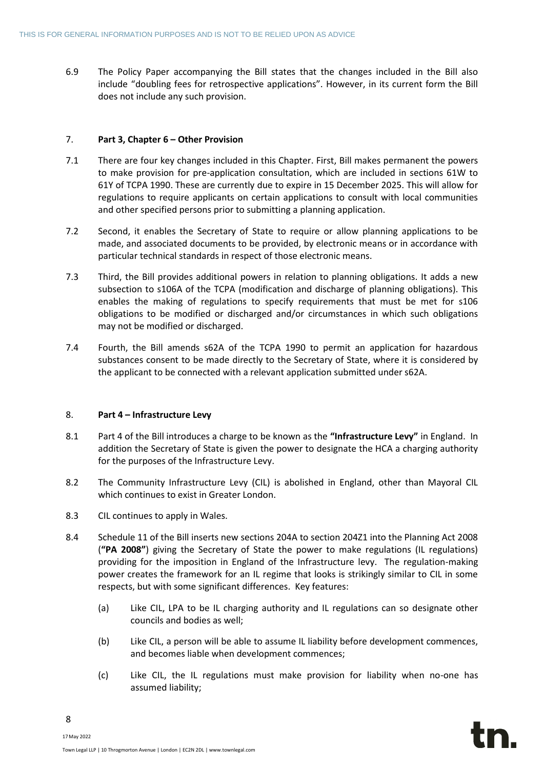6.9 The Policy Paper accompanying the Bill states that the changes included in the Bill also include "doubling fees for retrospective applications". However, in its current form the Bill does not include any such provision.

# 7. **Part 3, Chapter 6 – Other Provision**

- 7.1 There are four key changes included in this Chapter. First, Bill makes permanent the powers to make provision for pre-application consultation, which are included in sections 61W to 61Y of TCPA 1990. These are currently due to expire in 15 December 2025. This will allow for regulations to require applicants on certain applications to consult with local communities and other specified persons prior to submitting a planning application.
- 7.2 Second, it enables the Secretary of State to require or allow planning applications to be made, and associated documents to be provided, by electronic means or in accordance with particular technical standards in respect of those electronic means.
- 7.3 Third, the Bill provides additional powers in relation to planning obligations. It adds a new subsection to s106A of the TCPA (modification and discharge of planning obligations). This enables the making of regulations to specify requirements that must be met for s106 obligations to be modified or discharged and/or circumstances in which such obligations may not be modified or discharged.
- 7.4 Fourth, the Bill amends s62A of the TCPA 1990 to permit an application for hazardous substances consent to be made directly to the Secretary of State, where it is considered by the applicant to be connected with a relevant application submitted under s62A.

### 8. **Part 4 – Infrastructure Levy**

- 8.1 Part 4 of the Bill introduces a charge to be known as the **"Infrastructure Levy"** in England. In addition the Secretary of State is given the power to designate the HCA a charging authority for the purposes of the Infrastructure Levy.
- 8.2 The Community Infrastructure Levy (CIL) is abolished in England, other than Mayoral CIL which continues to exist in Greater London.
- 8.3 CIL continues to apply in Wales.
- 8.4 Schedule 11 of the Bill inserts new sections 204A to section 204Z1 into the Planning Act 2008 (**"PA 2008"**) giving the Secretary of State the power to make regulations (IL regulations) providing for the imposition in England of the Infrastructure levy. The regulation-making power creates the framework for an IL regime that looks is strikingly similar to CIL in some respects, but with some significant differences. Key features:
	- (a) Like CIL, LPA to be IL charging authority and IL regulations can so designate other councils and bodies as well;
	- (b) Like CIL, a person will be able to assume IL liability before development commences, and becomes liable when development commences;
	- (c) Like CIL, the IL regulations must make provision for liability when no-one has assumed liability;

17May 2022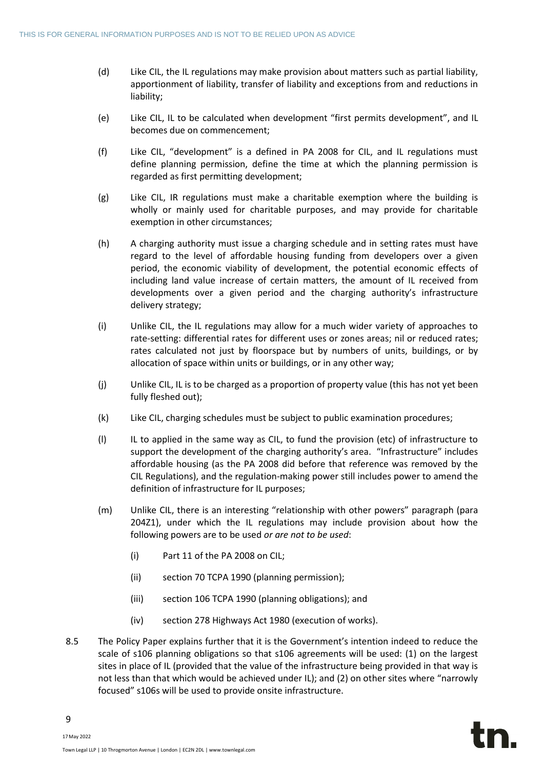- (d) Like CIL, the IL regulations may make provision about matters such as partial liability, apportionment of liability, transfer of liability and exceptions from and reductions in liability;
- (e) Like CIL, IL to be calculated when development "first permits development", and IL becomes due on commencement;
- (f) Like CIL, "development" is a defined in PA 2008 for CIL, and IL regulations must define planning permission, define the time at which the planning permission is regarded as first permitting development;
- (g) Like CIL, IR regulations must make a charitable exemption where the building is wholly or mainly used for charitable purposes, and may provide for charitable exemption in other circumstances;
- (h) A charging authority must issue a charging schedule and in setting rates must have regard to the level of affordable housing funding from developers over a given period, the economic viability of development, the potential economic effects of including land value increase of certain matters, the amount of IL received from developments over a given period and the charging authority's infrastructure delivery strategy;
- (i) Unlike CIL, the IL regulations may allow for a much wider variety of approaches to rate-setting: differential rates for different uses or zones areas; nil or reduced rates; rates calculated not just by floorspace but by numbers of units, buildings, or by allocation of space within units or buildings, or in any other way;
- (j) Unlike CIL, IL is to be charged as a proportion of property value (this has not yet been fully fleshed out);
- (k) Like CIL, charging schedules must be subject to public examination procedures;
- (l) IL to applied in the same way as CIL, to fund the provision (etc) of infrastructure to support the development of the charging authority's area. "Infrastructure" includes affordable housing (as the PA 2008 did before that reference was removed by the CIL Regulations), and the regulation-making power still includes power to amend the definition of infrastructure for IL purposes;
- (m) Unlike CIL, there is an interesting "relationship with other powers" paragraph (para 204Z1), under which the IL regulations may include provision about how the following powers are to be used *or are not to be used*:
	- (i) Part 11 of the PA 2008 on CIL;
	- (ii) section 70 TCPA 1990 (planning permission);
	- (iii) section 106 TCPA 1990 (planning obligations); and
	- (iv) section 278 Highways Act 1980 (execution of works).
- 8.5 The Policy Paper explains further that it is the Government's intention indeed to reduce the scale of s106 planning obligations so that s106 agreements will be used: (1) on the largest sites in place of IL (provided that the value of the infrastructure being provided in that way is not less than that which would be achieved under IL); and (2) on other sites where "narrowly focused" s106s will be used to provide onsite infrastructure.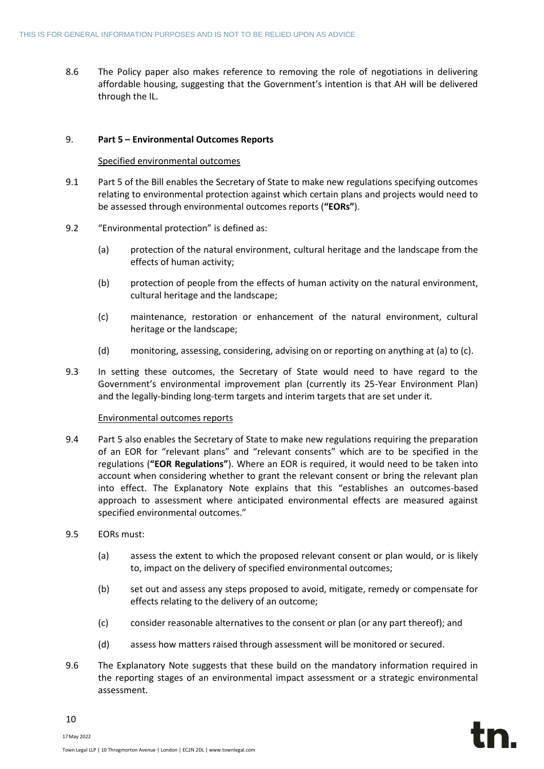8.6 The Policy paper also makes reference to removing the role of negotiations in delivering affordable housing, suggesting that the Government's intention is that AH will be delivered through the IL.

# 9. **Part 5 – Environmental Outcomes Reports**

### Specified environmental outcomes

- 9.1 Part 5 of the Bill enables the Secretary of State to make new regulations specifying outcomes relating to environmental protection against which certain plans and projects would need to be assessed through environmental outcomes reports (**"EORs"**).
- 9.2 "Environmental protection" is defined as:
	- (a) protection of the natural environment, cultural heritage and the landscape from the effects of human activity;
	- (b) protection of people from the effects of human activity on the natural environment, cultural heritage and the landscape;
	- (c) maintenance, restoration or enhancement of the natural environment, cultural heritage or the landscape;
	- (d) monitoring, assessing, considering, advising on or reporting on anything at (a) to (c).
- 9.3 In setting these outcomes, the Secretary of State would need to have regard to the Government's environmental improvement plan (currently its 25-Year Environment Plan) and the legally-binding long-term targets and interim targets that are set under it.

### Environmental outcomes reports

- 9.4 Part 5 also enables the Secretary of State to make new regulations requiring the preparation of an EOR for "relevant plans" and "relevant consents" which are to be specified in the regulations (**"EOR Regulations"**). Where an EOR is required, it would need to be taken into account when considering whether to grant the relevant consent or bring the relevant plan into effect. The Explanatory Note explains that this "establishes an outcomes-based approach to assessment where anticipated environmental effects are measured against specified environmental outcomes."
- 9.5 EORs must:
	- (a) assess the extent to which the proposed relevant consent or plan would, or is likely to, impact on the delivery of specified environmental outcomes;
	- (b) set out and assess any steps proposed to avoid, mitigate, remedy or compensate for effects relating to the delivery of an outcome;
	- (c) consider reasonable alternatives to the consent or plan (or any part thereof); and
	- (d) assess how matters raised through assessment will be monitored or secured.
- 9.6 The Explanatory Note suggests that these build on the mandatory information required in the reporting stages of an environmental impact assessment or a strategic environmental assessment.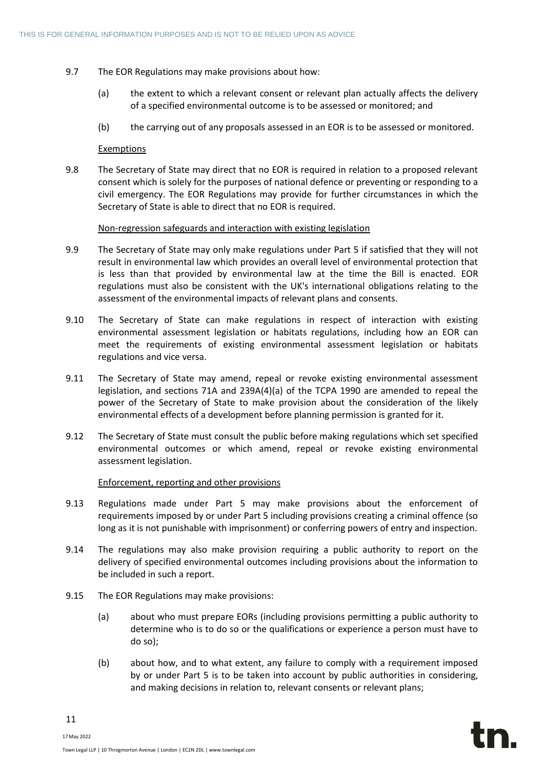- 9.7 The EOR Regulations may make provisions about how:
	- (a) the extent to which a relevant consent or relevant plan actually affects the delivery of a specified environmental outcome is to be assessed or monitored; and
	- (b) the carrying out of any proposals assessed in an EOR is to be assessed or monitored.

### Exemptions

9.8 The Secretary of State may direct that no EOR is required in relation to a proposed relevant consent which is solely for the purposes of national defence or preventing or responding to a civil emergency. The EOR Regulations may provide for further circumstances in which the Secretary of State is able to direct that no EOR is required.

### Non-regression safeguards and interaction with existing legislation

- 9.9 The Secretary of State may only make regulations under Part 5 if satisfied that they will not result in environmental law which provides an overall level of environmental protection that is less than that provided by environmental law at the time the Bill is enacted. EOR regulations must also be consistent with the UK's international obligations relating to the assessment of the environmental impacts of relevant plans and consents.
- 9.10 The Secretary of State can make regulations in respect of interaction with existing environmental assessment legislation or habitats regulations, including how an EOR can meet the requirements of existing environmental assessment legislation or habitats regulations and vice versa.
- 9.11 The Secretary of State may amend, repeal or revoke existing environmental assessment legislation, and sections 71A and 239A(4)(a) of the TCPA 1990 are amended to repeal the power of the Secretary of State to make provision about the consideration of the likely environmental effects of a development before planning permission is granted for it.
- 9.12 The Secretary of State must consult the public before making regulations which set specified environmental outcomes or which amend, repeal or revoke existing environmental assessment legislation.

# Enforcement, reporting and other provisions

- 9.13 Regulations made under Part 5 may make provisions about the enforcement of requirements imposed by or under Part 5 including provisions creating a criminal offence (so long as it is not punishable with imprisonment) or conferring powers of entry and inspection.
- 9.14 The regulations may also make provision requiring a public authority to report on the delivery of specified environmental outcomes including provisions about the information to be included in such a report.
- 9.15 The EOR Regulations may make provisions:
	- (a) about who must prepare EORs (including provisions permitting a public authority to determine who is to do so or the qualifications or experience a person must have to do so);
	- (b) about how, and to what extent, any failure to comply with a requirement imposed by or under Part 5 is to be taken into account by public authorities in considering, and making decisions in relation to, relevant consents or relevant plans;

17May 2022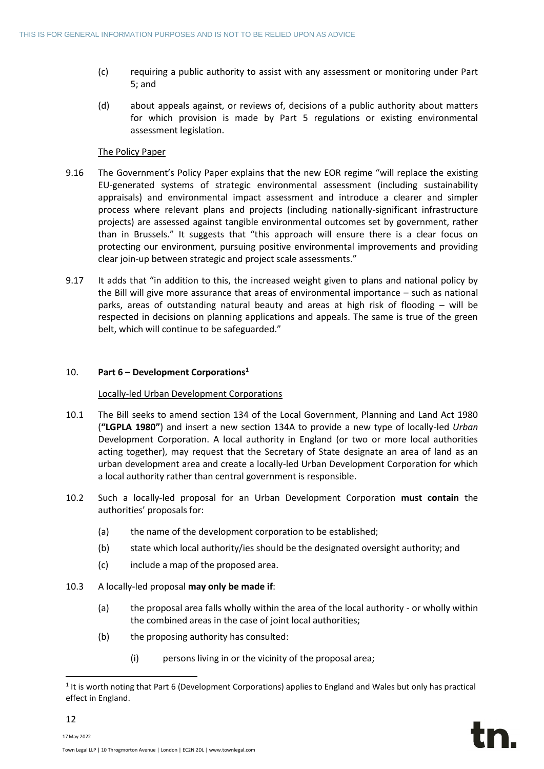- (c) requiring a public authority to assist with any assessment or monitoring under Part 5; and
- (d) about appeals against, or reviews of, decisions of a public authority about matters for which provision is made by Part 5 regulations or existing environmental assessment legislation.

# The Policy Paper

- 9.16 The Government's Policy Paper explains that the new EOR regime "will replace the existing EU-generated systems of strategic environmental assessment (including sustainability appraisals) and environmental impact assessment and introduce a clearer and simpler process where relevant plans and projects (including nationally-significant infrastructure projects) are assessed against tangible environmental outcomes set by government, rather than in Brussels." It suggests that "this approach will ensure there is a clear focus on protecting our environment, pursuing positive environmental improvements and providing clear join-up between strategic and project scale assessments."
- 9.17 It adds that "in addition to this, the increased weight given to plans and national policy by the Bill will give more assurance that areas of environmental importance – such as national parks, areas of outstanding natural beauty and areas at high risk of flooding – will be respected in decisions on planning applications and appeals. The same is true of the green belt, which will continue to be safeguarded."

# 10. **Part 6 – Development Corporations<sup>1</sup>**

# Locally-led Urban Development Corporations

- 10.1 The Bill seeks to amend section 134 of the Local Government, Planning and Land Act 1980 (**"LGPLA 1980"**) and insert a new section 134A to provide a new type of locally-led *Urban* Development Corporation. A local authority in England (or two or more local authorities acting together), may request that the Secretary of State designate an area of land as an urban development area and create a locally-led Urban Development Corporation for which a local authority rather than central government is responsible.
- 10.2 Such a locally-led proposal for an Urban Development Corporation **must contain** the authorities' proposals for:
	- (a) the name of the development corporation to be established;
	- (b) state which local authority/ies should be the designated oversight authority; and
	- (c) include a map of the proposed area.
- 10.3 A locally-led proposal **may only be made if**:
	- (a) the proposal area falls wholly within the area of the local authority or wholly within the combined areas in the case of joint local authorities;
	- (b) the proposing authority has consulted:
		- (i) persons living in or the vicinity of the proposal area;

12 17May 2022

<sup>&</sup>lt;sup>1</sup> It is worth noting that Part 6 (Development Corporations) applies to England and Wales but only has practical effect in England.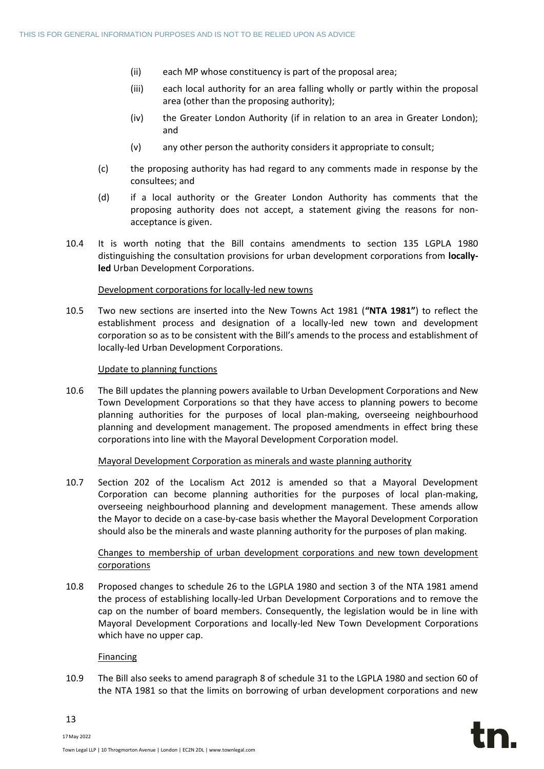- (ii) each MP whose constituency is part of the proposal area;
- (iii) each local authority for an area falling wholly or partly within the proposal area (other than the proposing authority);
- (iv) the Greater London Authority (if in relation to an area in Greater London); and
- (v) any other person the authority considers it appropriate to consult;
- (c) the proposing authority has had regard to any comments made in response by the consultees; and
- (d) if a local authority or the Greater London Authority has comments that the proposing authority does not accept, a statement giving the reasons for nonacceptance is given.
- 10.4 It is worth noting that the Bill contains amendments to section 135 LGPLA 1980 distinguishing the consultation provisions for urban development corporations from **locallyled** Urban Development Corporations.

### Development corporations for locally-led new towns

10.5 Two new sections are inserted into the New Towns Act 1981 (**"NTA 1981"**) to reflect the establishment process and designation of a locally-led new town and development corporation so as to be consistent with the Bill's amends to the process and establishment of locally-led Urban Development Corporations.

### Update to planning functions

10.6 The Bill updates the planning powers available to Urban Development Corporations and New Town Development Corporations so that they have access to planning powers to become planning authorities for the purposes of local plan-making, overseeing neighbourhood planning and development management. The proposed amendments in effect bring these corporations into line with the Mayoral Development Corporation model.

# Mayoral Development Corporation as minerals and waste planning authority

10.7 Section 202 of the Localism Act 2012 is amended so that a Mayoral Development Corporation can become planning authorities for the purposes of local plan-making, overseeing neighbourhood planning and development management. These amends allow the Mayor to decide on a case-by-case basis whether the Mayoral Development Corporation should also be the minerals and waste planning authority for the purposes of plan making.

# Changes to membership of urban development corporations and new town development corporations

10.8 Proposed changes to schedule 26 to the LGPLA 1980 and section 3 of the NTA 1981 amend the process of establishing locally-led Urban Development Corporations and to remove the cap on the number of board members. Consequently, the legislation would be in line with Mayoral Development Corporations and locally-led New Town Development Corporations which have no upper cap.

### Financing

10.9 The Bill also seeks to amend paragraph 8 of schedule 31 to the LGPLA 1980 and section 60 of the NTA 1981 so that the limits on borrowing of urban development corporations and new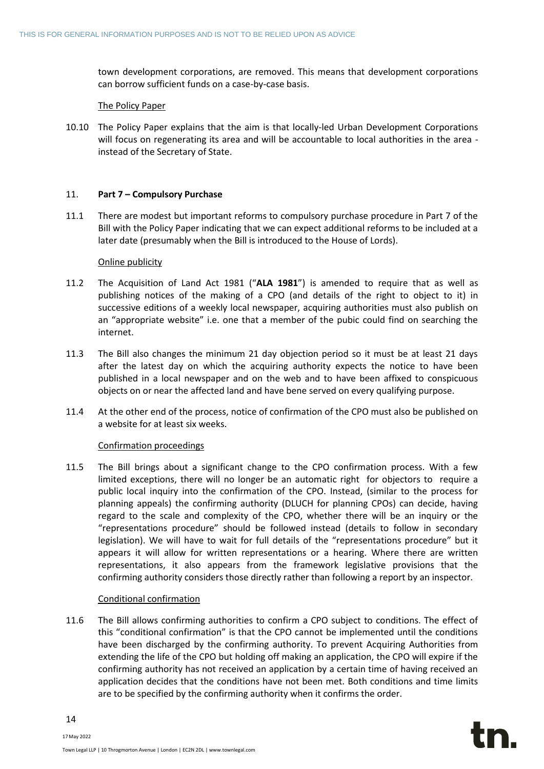town development corporations, are removed. This means that development corporations can borrow sufficient funds on a case-by-case basis.

#### The Policy Paper

10.10 The Policy Paper explains that the aim is that locally-led Urban Development Corporations will focus on regenerating its area and will be accountable to local authorities in the area instead of the Secretary of State.

### 11. **Part 7 – Compulsory Purchase**

11.1 There are modest but important reforms to compulsory purchase procedure in Part 7 of the Bill with the Policy Paper indicating that we can expect additional reforms to be included at a later date (presumably when the Bill is introduced to the House of Lords).

### Online publicity

- 11.2 The Acquisition of Land Act 1981 ("**ALA 1981**") is amended to require that as well as publishing notices of the making of a CPO (and details of the right to object to it) in successive editions of a weekly local newspaper, acquiring authorities must also publish on an "appropriate website" i.e. one that a member of the pubic could find on searching the internet.
- 11.3 The Bill also changes the minimum 21 day objection period so it must be at least 21 days after the latest day on which the acquiring authority expects the notice to have been published in a local newspaper and on the web and to have been affixed to conspicuous objects on or near the affected land and have bene served on every qualifying purpose.
- 11.4 At the other end of the process, notice of confirmation of the CPO must also be published on a website for at least six weeks.

### Confirmation proceedings

11.5 The Bill brings about a significant change to the CPO confirmation process. With a few limited exceptions, there will no longer be an automatic right for objectors to require a public local inquiry into the confirmation of the CPO. Instead, (similar to the process for planning appeals) the confirming authority (DLUCH for planning CPOs) can decide, having regard to the scale and complexity of the CPO, whether there will be an inquiry or the "representations procedure" should be followed instead (details to follow in secondary legislation). We will have to wait for full details of the "representations procedure" but it appears it will allow for written representations or a hearing. Where there are written representations, it also appears from the framework legislative provisions that the confirming authority considers those directly rather than following a report by an inspector.

### Conditional confirmation

11.6 The Bill allows confirming authorities to confirm a CPO subject to conditions. The effect of this "conditional confirmation" is that the CPO cannot be implemented until the conditions have been discharged by the confirming authority. To prevent Acquiring Authorities from extending the life of the CPO but holding off making an application, the CPO will expire if the confirming authority has not received an application by a certain time of having received an application decides that the conditions have not been met. Both conditions and time limits are to be specified by the confirming authority when it confirms the order.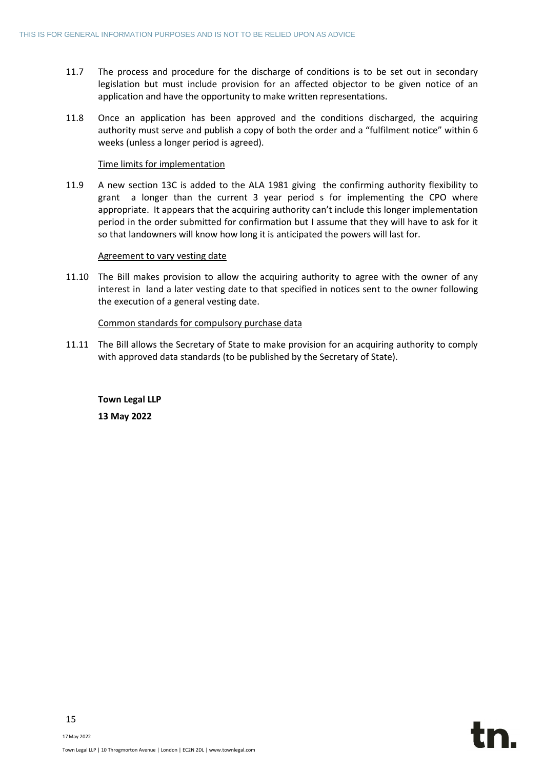- 11.7 The process and procedure for the discharge of conditions is to be set out in secondary legislation but must include provision for an affected objector to be given notice of an application and have the opportunity to make written representations.
- 11.8 Once an application has been approved and the conditions discharged, the acquiring authority must serve and publish a copy of both the order and a "fulfilment notice" within 6 weeks (unless a longer period is agreed).

### Time limits for implementation

11.9 A new section 13C is added to the ALA 1981 giving the confirming authority flexibility to grant a longer than the current 3 year period s for implementing the CPO where appropriate. It appears that the acquiring authority can't include this longer implementation period in the order submitted for confirmation but I assume that they will have to ask for it so that landowners will know how long it is anticipated the powers will last for.

### Agreement to vary vesting date

11.10 The Bill makes provision to allow the acquiring authority to agree with the owner of any interest in land a later vesting date to that specified in notices sent to the owner following the execution of a general vesting date.

### Common standards for compulsory purchase data

11.11 The Bill allows the Secretary of State to make provision for an acquiring authority to comply with approved data standards (to be published by the Secretary of State).

**Town Legal LLP 13 May 2022**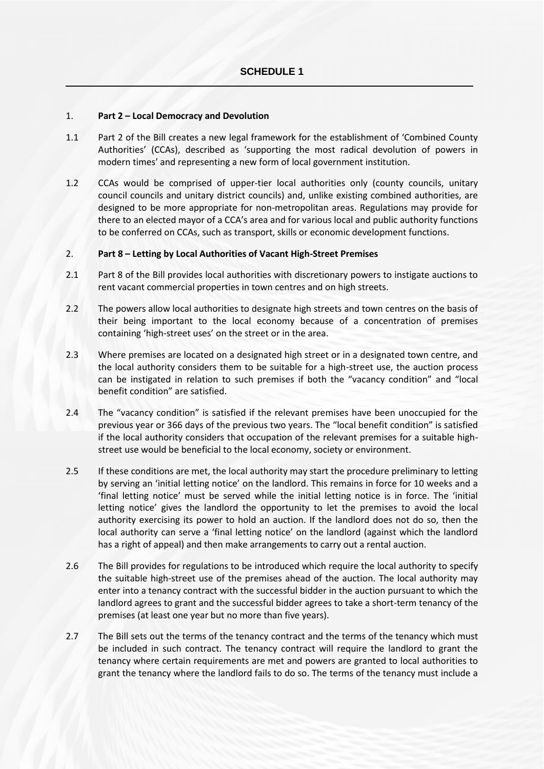### 1. **Part 2 – Local Democracy and Devolution**

- 1.1 Part 2 of the Bill creates a new legal framework for the establishment of 'Combined County Authorities' (CCAs), described as 'supporting the most radical devolution of powers in modern times' and representing a new form of local government institution.
- 1.2 CCAs would be comprised of upper-tier local authorities only (county councils, unitary council councils and unitary district councils) and, unlike existing combined authorities, are designed to be more appropriate for non-metropolitan areas. Regulations may provide for there to an elected mayor of a CCA's area and for various local and public authority functions to be conferred on CCAs, such as transport, skills or economic development functions.

### 2. **Part 8 – Letting by Local Authorities of Vacant High-Street Premises**

- 2.1 Part 8 of the Bill provides local authorities with discretionary powers to instigate auctions to rent vacant commercial properties in town centres and on high streets.
- 2.2 The powers allow local authorities to designate high streets and town centres on the basis of their being important to the local economy because of a concentration of premises containing 'high-street uses' on the street or in the area.
- 2.3 Where premises are located on a designated high street or in a designated town centre, and the local authority considers them to be suitable for a high-street use, the auction process can be instigated in relation to such premises if both the "vacancy condition" and "local benefit condition" are satisfied.
- 2.4 The "vacancy condition" is satisfied if the relevant premises have been unoccupied for the previous year or 366 days of the previous two years. The "local benefit condition" is satisfied if the local authority considers that occupation of the relevant premises for a suitable highstreet use would be beneficial to the local economy, society or environment.
- 2.5 If these conditions are met, the local authority may start the procedure preliminary to letting by serving an 'initial letting notice' on the landlord. This remains in force for 10 weeks and a 'final letting notice' must be served while the initial letting notice is in force. The 'initial letting notice' gives the landlord the opportunity to let the premises to avoid the local authority exercising its power to hold an auction. If the landlord does not do so, then the local authority can serve a 'final letting notice' on the landlord (against which the landlord has a right of appeal) and then make arrangements to carry out a rental auction.
- 2.6 The Bill provides for regulations to be introduced which require the local authority to specify the suitable high-street use of the premises ahead of the auction. The local authority may enter into a tenancy contract with the successful bidder in the auction pursuant to which the landlord agrees to grant and the successful bidder agrees to take a short-term tenancy of the premises (at least one year but no more than five years).
- 2.7 The Bill sets out the terms of the tenancy contract and the terms of the tenancy which must be included in such contract. The tenancy contract will require the landlord to grant the tenancy where certain requirements are met and powers are granted to local authorities to grant the tenancy where the landlord fails to do so. The terms of the tenancy must include a